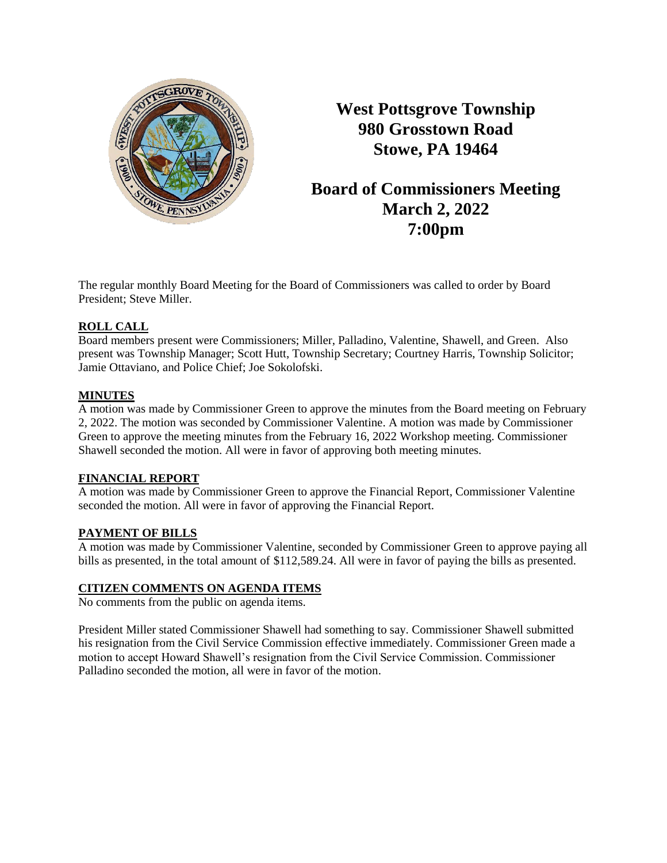

**West Pottsgrove Township 980 Grosstown Road Stowe, PA 19464**

# **Board of Commissioners Meeting March 2, 2022 7:00pm**

The regular monthly Board Meeting for the Board of Commissioners was called to order by Board President; Steve Miller.

# **ROLL CALL**

Board members present were Commissioners; Miller, Palladino, Valentine, Shawell, and Green. Also present was Township Manager; Scott Hutt, Township Secretary; Courtney Harris, Township Solicitor; Jamie Ottaviano, and Police Chief; Joe Sokolofski.

# **MINUTES**

A motion was made by Commissioner Green to approve the minutes from the Board meeting on February 2, 2022. The motion was seconded by Commissioner Valentine. A motion was made by Commissioner Green to approve the meeting minutes from the February 16, 2022 Workshop meeting. Commissioner Shawell seconded the motion. All were in favor of approving both meeting minutes.

# **FINANCIAL REPORT**

A motion was made by Commissioner Green to approve the Financial Report, Commissioner Valentine seconded the motion. All were in favor of approving the Financial Report.

# **PAYMENT OF BILLS**

A motion was made by Commissioner Valentine, seconded by Commissioner Green to approve paying all bills as presented, in the total amount of \$112,589.24. All were in favor of paying the bills as presented.

# **CITIZEN COMMENTS ON AGENDA ITEMS**

No comments from the public on agenda items.

President Miller stated Commissioner Shawell had something to say. Commissioner Shawell submitted his resignation from the Civil Service Commission effective immediately. Commissioner Green made a motion to accept Howard Shawell's resignation from the Civil Service Commission. Commissioner Palladino seconded the motion, all were in favor of the motion.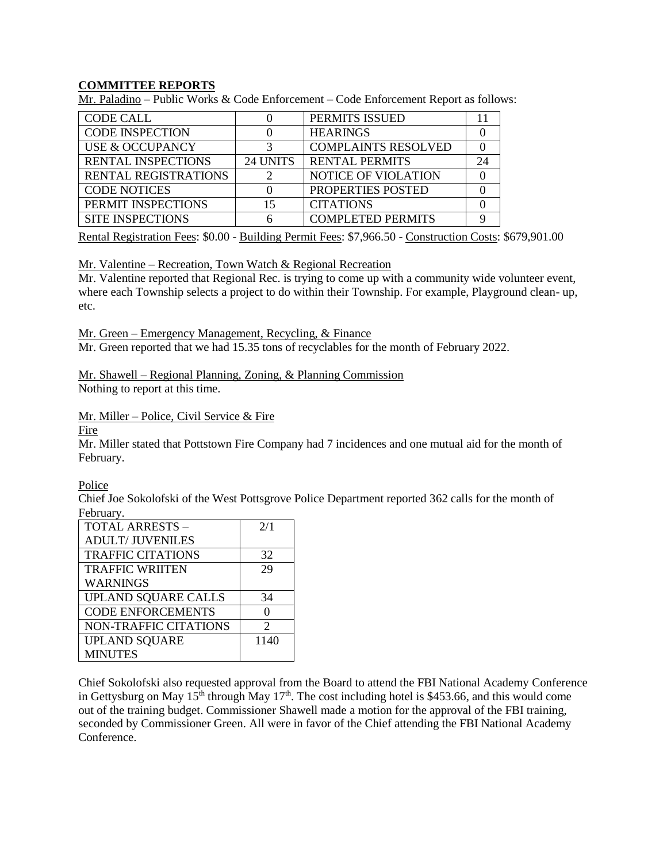## **COMMITTEE REPORTS**

Mr. Paladino – Public Works & Code Enforcement – Code Enforcement Report as follows:

| <b>CODE CALL</b>            |          | PERMITS ISSUED             |  |
|-----------------------------|----------|----------------------------|--|
| <b>CODE INSPECTION</b>      |          | <b>HEARINGS</b>            |  |
| USE & OCCUPANCY             |          | <b>COMPLAINTS RESOLVED</b> |  |
| <b>RENTAL INSPECTIONS</b>   | 24 UNITS | <b>RENTAL PERMITS</b>      |  |
| <b>RENTAL REGISTRATIONS</b> |          | NOTICE OF VIOLATION        |  |
| <b>CODE NOTICES</b>         |          | PROPERTIES POSTED          |  |
| PERMIT INSPECTIONS          | 15       | <b>CITATIONS</b>           |  |
| <b>SITE INSPECTIONS</b>     |          | <b>COMPLETED PERMITS</b>   |  |

Rental Registration Fees: \$0.00 - Building Permit Fees: \$7,966.50 - Construction Costs: \$679,901.00

Mr. Valentine – Recreation, Town Watch & Regional Recreation

Mr. Valentine reported that Regional Rec. is trying to come up with a community wide volunteer event, where each Township selects a project to do within their Township. For example, Playground clean- up, etc.

Mr. Green – Emergency Management, Recycling, & Finance

Mr. Green reported that we had 15.35 tons of recyclables for the month of February 2022.

Mr. Shawell – Regional Planning, Zoning, & Planning Commission Nothing to report at this time.

Mr. Miller – Police, Civil Service & Fire

Fire

Mr. Miller stated that Pottstown Fire Company had 7 incidences and one mutual aid for the month of February.

Police

Chief Joe Sokolofski of the West Pottsgrove Police Department reported 362 calls for the month of February.

| <b>TOTAL ARRESTS -</b>     | 2/1            |
|----------------------------|----------------|
| <b>ADULT/ JUVENILES</b>    |                |
| <b>TRAFFIC CITATIONS</b>   | 32             |
| <b>TRAFFIC WRIITEN</b>     | 29             |
| <b>WARNINGS</b>            |                |
| <b>UPLAND SQUARE CALLS</b> | 34             |
| <b>CODE ENFORCEMENTS</b>   |                |
| NON-TRAFFIC CITATIONS      | $\mathfrak{D}$ |
| <b>UPLAND SQUARE</b>       | 1140           |
| <b>MINUTES</b>             |                |

Chief Sokolofski also requested approval from the Board to attend the FBI National Academy Conference in Gettysburg on May  $15^{th}$  through May  $17^{th}$ . The cost including hotel is \$453.66, and this would come out of the training budget. Commissioner Shawell made a motion for the approval of the FBI training, seconded by Commissioner Green. All were in favor of the Chief attending the FBI National Academy Conference.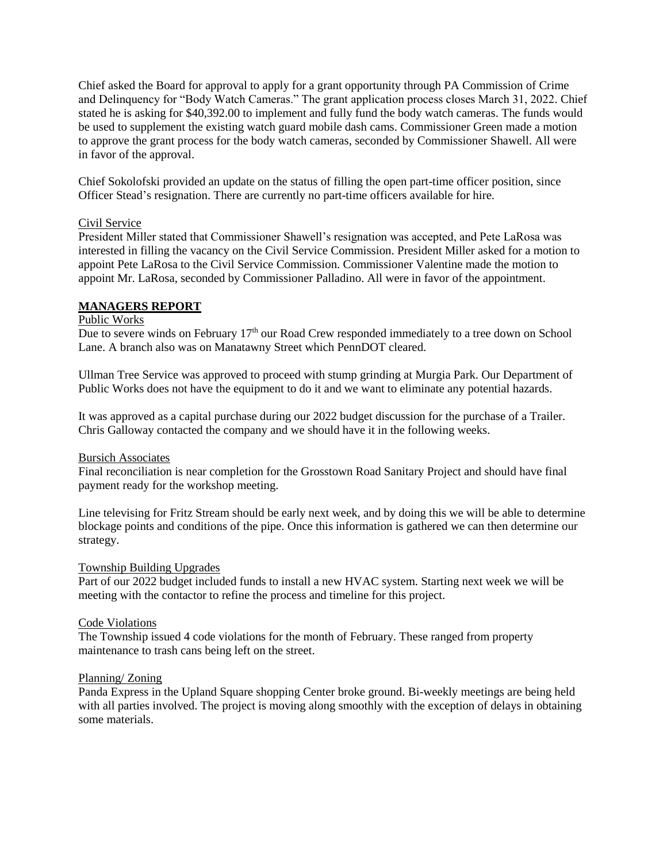Chief asked the Board for approval to apply for a grant opportunity through PA Commission of Crime and Delinquency for "Body Watch Cameras." The grant application process closes March 31, 2022. Chief stated he is asking for \$40,392.00 to implement and fully fund the body watch cameras. The funds would be used to supplement the existing watch guard mobile dash cams. Commissioner Green made a motion to approve the grant process for the body watch cameras, seconded by Commissioner Shawell. All were in favor of the approval.

Chief Sokolofski provided an update on the status of filling the open part-time officer position, since Officer Stead's resignation. There are currently no part-time officers available for hire.

## Civil Service

President Miller stated that Commissioner Shawell's resignation was accepted, and Pete LaRosa was interested in filling the vacancy on the Civil Service Commission. President Miller asked for a motion to appoint Pete LaRosa to the Civil Service Commission. Commissioner Valentine made the motion to appoint Mr. LaRosa, seconded by Commissioner Palladino. All were in favor of the appointment.

## **MANAGERS REPORT**

#### Public Works

Due to severe winds on February 17<sup>th</sup> our Road Crew responded immediately to a tree down on School Lane. A branch also was on Manatawny Street which PennDOT cleared.

Ullman Tree Service was approved to proceed with stump grinding at Murgia Park. Our Department of Public Works does not have the equipment to do it and we want to eliminate any potential hazards.

It was approved as a capital purchase during our 2022 budget discussion for the purchase of a Trailer. Chris Galloway contacted the company and we should have it in the following weeks.

#### Bursich Associates

Final reconciliation is near completion for the Grosstown Road Sanitary Project and should have final payment ready for the workshop meeting.

Line televising for Fritz Stream should be early next week, and by doing this we will be able to determine blockage points and conditions of the pipe. Once this information is gathered we can then determine our strategy.

#### Township Building Upgrades

Part of our 2022 budget included funds to install a new HVAC system. Starting next week we will be meeting with the contactor to refine the process and timeline for this project.

#### Code Violations

The Township issued 4 code violations for the month of February. These ranged from property maintenance to trash cans being left on the street.

#### Planning/ Zoning

Panda Express in the Upland Square shopping Center broke ground. Bi-weekly meetings are being held with all parties involved. The project is moving along smoothly with the exception of delays in obtaining some materials.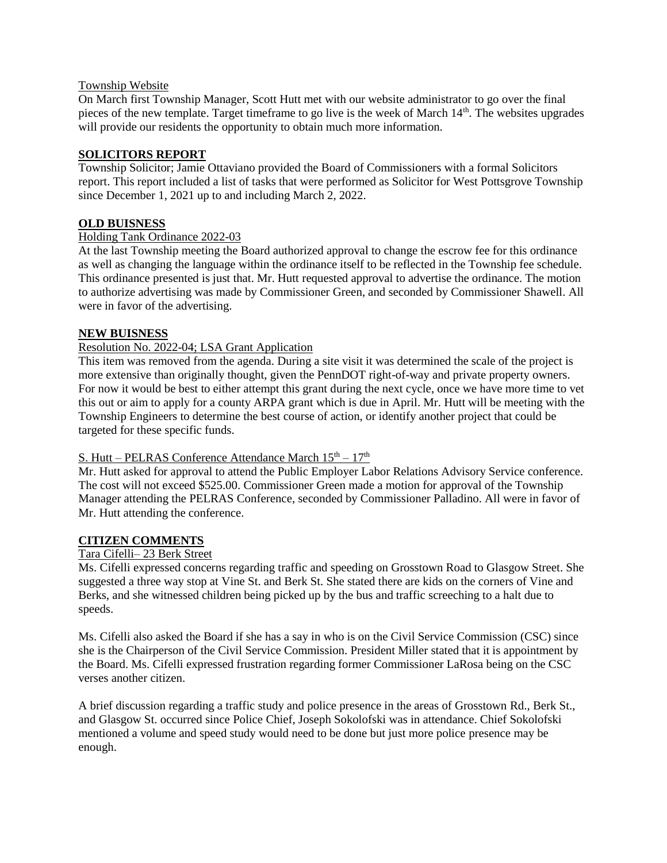## Township Website

On March first Township Manager, Scott Hutt met with our website administrator to go over the final pieces of the new template. Target timeframe to go live is the week of March 14th. The websites upgrades will provide our residents the opportunity to obtain much more information.

## **SOLICITORS REPORT**

Township Solicitor; Jamie Ottaviano provided the Board of Commissioners with a formal Solicitors report. This report included a list of tasks that were performed as Solicitor for West Pottsgrove Township since December 1, 2021 up to and including March 2, 2022.

## **OLD BUISNESS**

## Holding Tank Ordinance 2022-03

At the last Township meeting the Board authorized approval to change the escrow fee for this ordinance as well as changing the language within the ordinance itself to be reflected in the Township fee schedule. This ordinance presented is just that. Mr. Hutt requested approval to advertise the ordinance. The motion to authorize advertising was made by Commissioner Green, and seconded by Commissioner Shawell. All were in favor of the advertising.

## **NEW BUISNESS**

## Resolution No. 2022-04; LSA Grant Application

This item was removed from the agenda. During a site visit it was determined the scale of the project is more extensive than originally thought, given the PennDOT right-of-way and private property owners. For now it would be best to either attempt this grant during the next cycle, once we have more time to vet this out or aim to apply for a county ARPA grant which is due in April. Mr. Hutt will be meeting with the Township Engineers to determine the best course of action, or identify another project that could be targeted for these specific funds.

## S. Hutt – PELRAS Conference Attendance March  $15<sup>th</sup> - 17<sup>th</sup>$

Mr. Hutt asked for approval to attend the Public Employer Labor Relations Advisory Service conference. The cost will not exceed \$525.00. Commissioner Green made a motion for approval of the Township Manager attending the PELRAS Conference, seconded by Commissioner Palladino. All were in favor of Mr. Hutt attending the conference.

#### **CITIZEN COMMENTS**

## Tara Cifelli– 23 Berk Street

Ms. Cifelli expressed concerns regarding traffic and speeding on Grosstown Road to Glasgow Street. She suggested a three way stop at Vine St. and Berk St. She stated there are kids on the corners of Vine and Berks, and she witnessed children being picked up by the bus and traffic screeching to a halt due to speeds.

Ms. Cifelli also asked the Board if she has a say in who is on the Civil Service Commission (CSC) since she is the Chairperson of the Civil Service Commission. President Miller stated that it is appointment by the Board. Ms. Cifelli expressed frustration regarding former Commissioner LaRosa being on the CSC verses another citizen.

A brief discussion regarding a traffic study and police presence in the areas of Grosstown Rd., Berk St., and Glasgow St. occurred since Police Chief, Joseph Sokolofski was in attendance. Chief Sokolofski mentioned a volume and speed study would need to be done but just more police presence may be enough.